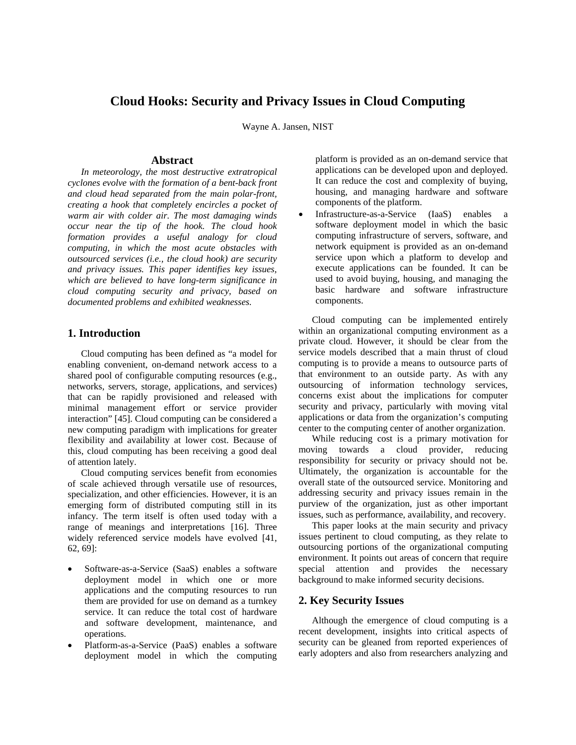# **Cloud Hooks: Security and Privacy Issues in Cloud Computing**

Wayne A. Jansen, NIST

#### **Abstract**

*In meteorology, the most destructive extratropical cyclones evolve with the formation of a bent-back front and cloud head separated from the main polar-front, creating a hook that completely encircles a pocket of warm air with colder air. The most damaging winds occur near the tip of the hook. The cloud hook formation provides a useful analogy for cloud computing, in which the most acute obstacles with outsourced services (i.e., the cloud hook) are security and privacy issues. This paper identifies key issues, which are believed to have long-term significance in cloud computing security and privacy, based on documented problems and exhibited weaknesses.* 

### **1. Introduction**

Cloud computing has been defined as "a model for enabling convenient, on-demand network access to a shared pool of configurable computing resources (e.g., networks, servers, storage, applications, and services) that can be rapidly provisioned and released with minimal management effort or service provider interaction" [45]. Cloud computing can be considered a new computing paradigm with implications for greater flexibility and availability at lower cost. Because of this, cloud computing has been receiving a good deal of attention lately.

Cloud computing services benefit from economies of scale achieved through versatile use of resources, specialization, and other efficiencies. However, it is an emerging form of distributed computing still in its infancy. The term itself is often used today with a range of meanings and interpretations [16]. Three widely referenced service models have evolved [41, 62, 69]:

- Software-as-a-Service (SaaS) enables a software deployment model in which one or more applications and the computing resources to run them are provided for use on demand as a turnkey service. It can reduce the total cost of hardware and software development, maintenance, and operations.
- Platform-as-a-Service (PaaS) enables a software deployment model in which the computing

platform is provided as an on-demand service that applications can be developed upon and deployed. It can reduce the cost and complexity of buying, housing, and managing hardware and software components of the platform.

• Infrastructure-as-a-Service (IaaS) enables a software deployment model in which the basic computing infrastructure of servers, software, and network equipment is provided as an on-demand service upon which a platform to develop and execute applications can be founded. It can be used to avoid buying, housing, and managing the basic hardware and software infrastructure components.

Cloud computing can be implemented entirely within an organizational computing environment as a private cloud. However, it should be clear from the service models described that a main thrust of cloud computing is to provide a means to outsource parts of that environment to an outside party. As with any outsourcing of information technology services, concerns exist about the implications for computer security and privacy, particularly with moving vital applications or data from the organization's computing center to the computing center of another organization.

While reducing cost is a primary motivation for moving towards a cloud provider, reducing responsibility for security or privacy should not be. Ultimately, the organization is accountable for the overall state of the outsourced service. Monitoring and addressing security and privacy issues remain in the purview of the organization, just as other important issues, such as performance, availability, and recovery.

This paper looks at the main security and privacy issues pertinent to cloud computing, as they relate to outsourcing portions of the organizational computing environment. It points out areas of concern that require special attention and provides the necessary background to make informed security decisions.

### **2. Key Security Issues**

Although the emergence of cloud computing is a recent development, insights into critical aspects of security can be gleaned from reported experiences of early adopters and also from researchers analyzing and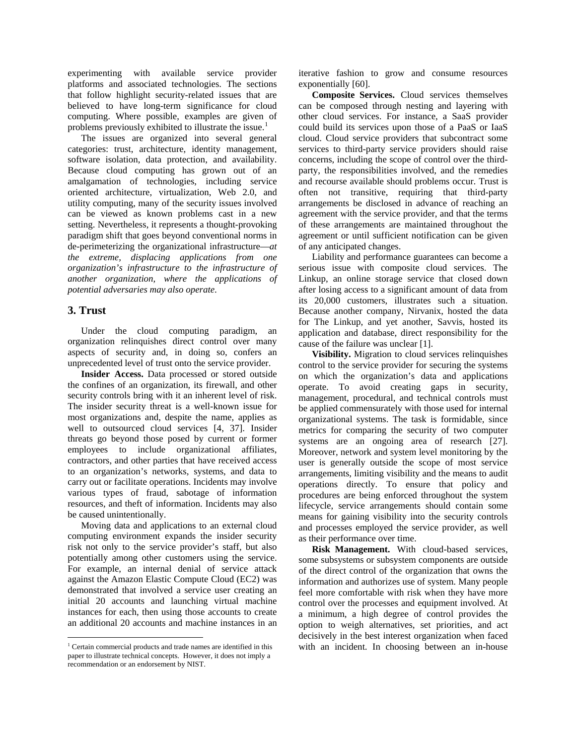experimenting with available service provider platforms and associated technologies. The sections that follow highlight security-related issues that are believed to have long-term significance for cloud computing. Where possible, examples are given of problems previously exhibited to illustrate the issue.<sup>[1](#page-1-0)</sup>

The issues are organized into several general categories: trust, architecture, identity management, software isolation, data protection, and availability. Because cloud computing has grown out of an amalgamation of technologies, including service oriented architecture, virtualization, Web 2.0, and utility computing, many of the security issues involved can be viewed as known problems cast in a new setting. Nevertheless, it represents a thought-provoking paradigm shift that goes beyond conventional norms in de-perimeterizing the organizational infrastructure—*at the extreme, displacing applications from one organization's infrastructure to the infrastructure of another organization, where the applications of potential adversaries may also operate*.

### **3. Trust**

 $\overline{a}$ 

Under the cloud computing paradigm, an organization relinquishes direct control over many aspects of security and, in doing so, confers an unprecedented level of trust onto the service provider.

**Insider Access.** Data processed or stored outside the confines of an organization, its firewall, and other security controls bring with it an inherent level of risk. The insider security threat is a well-known issue for most organizations and, despite the name, applies as well to outsourced cloud services [4, 37]. Insider threats go beyond those posed by current or former employees to include organizational affiliates, contractors, and other parties that have received access to an organization's networks, systems, and data to carry out or facilitate operations. Incidents may involve various types of fraud, sabotage of information resources, and theft of information. Incidents may also be caused unintentionally.

Moving data and applications to an external cloud computing environment expands the insider security risk not only to the service provider's staff, but also potentially among other customers using the service. For example, an internal denial of service attack against the Amazon Elastic Compute Cloud (EC2) was demonstrated that involved a service user creating an initial 20 accounts and launching virtual machine instances for each, then using those accounts to create an additional 20 accounts and machine instances in an

iterative fashion to grow and consume resources exponentially [60].

**Composite Services.** Cloud services themselves can be composed through nesting and layering with other cloud services. For instance, a SaaS provider could build its services upon those of a PaaS or IaaS cloud. Cloud service providers that subcontract some services to third-party service providers should raise concerns, including the scope of control over the thirdparty, the responsibilities involved, and the remedies and recourse available should problems occur. Trust is often not transitive, requiring that third-party arrangements be disclosed in advance of reaching an agreement with the service provider, and that the terms of these arrangements are maintained throughout the agreement or until sufficient notification can be given of any anticipated changes.

Liability and performance guarantees can become a serious issue with composite cloud services. The Linkup, an online storage service that closed down after losing access to a significant amount of data from its 20,000 customers, illustrates such a situation. Because another company, Nirvanix, hosted the data for The Linkup, and yet another, Savvis, hosted its application and database, direct responsibility for the cause of the failure was unclear [1].

**Visibility.** Migration to cloud services relinquishes control to the service provider for securing the systems on which the organization's data and applications operate. To avoid creating gaps in security, management, procedural, and technical controls must be applied commensurately with those used for internal organizational systems. The task is formidable, since metrics for comparing the security of two computer systems are an ongoing area of research [27]. Moreover, network and system level monitoring by the user is generally outside the scope of most service arrangements, limiting visibility and the means to audit operations directly. To ensure that policy and procedures are being enforced throughout the system lifecycle, service arrangements should contain some means for gaining visibility into the security controls and processes employed the service provider, as well as their performance over time.

**Risk Management.** With cloud-based services, some subsystems or subsystem components are outside of the direct control of the organization that owns the information and authorizes use of system. Many people feel more comfortable with risk when they have more control over the processes and equipment involved. At a minimum, a high degree of control provides the option to weigh alternatives, set priorities, and act decisively in the best interest organization when faced with an incident. In choosing between an in-house

<span id="page-1-0"></span><sup>&</sup>lt;sup>1</sup> Certain commercial products and trade names are identified in this paper to illustrate technical concepts. However, it does not imply a recommendation or an endorsement by NIST.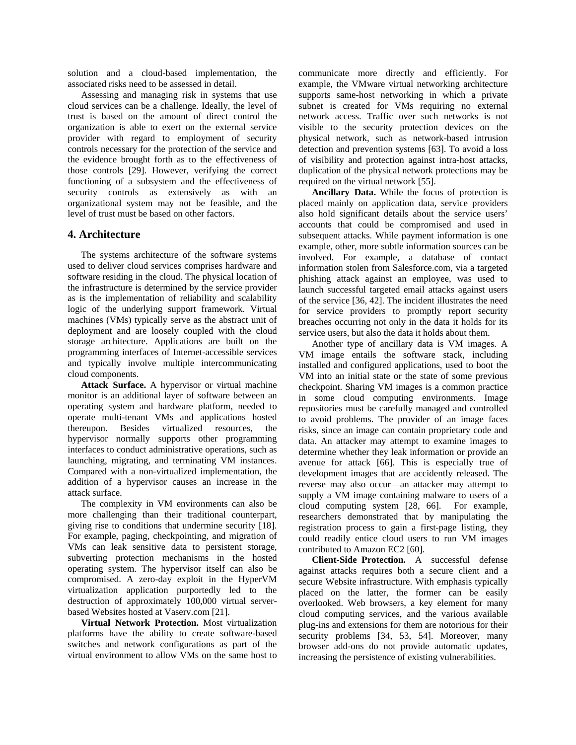solution and a cloud-based implementation, the associated risks need to be assessed in detail.

Assessing and managing risk in systems that use cloud services can be a challenge. Ideally, the level of trust is based on the amount of direct control the organization is able to exert on the external service provider with regard to employment of security controls necessary for the protection of the service and the evidence brought forth as to the effectiveness of those controls [29]. However, verifying the correct functioning of a subsystem and the effectiveness of security controls as extensively as with an organizational system may not be feasible, and the level of trust must be based on other factors.

### **4. Architecture**

The systems architecture of the software systems used to deliver cloud services comprises hardware and software residing in the cloud. The physical location of the infrastructure is determined by the service provider as is the implementation of reliability and scalability logic of the underlying support framework. Virtual machines (VMs) typically serve as the abstract unit of deployment and are loosely coupled with the cloud storage architecture. Applications are built on the programming interfaces of Internet-accessible services and typically involve multiple intercommunicating cloud components.

**Attack Surface.** A hypervisor or virtual machine monitor is an additional layer of software between an operating system and hardware platform, needed to operate multi-tenant VMs and applications hosted thereupon. Besides virtualized resources, the hypervisor normally supports other programming interfaces to conduct administrative operations, such as launching, migrating, and terminating VM instances. Compared with a non-virtualized implementation, the addition of a hypervisor causes an increase in the attack surface.

The complexity in VM environments can also be more challenging than their traditional counterpart, giving rise to conditions that undermine security [18]. For example, paging, checkpointing, and migration of VMs can leak sensitive data to persistent storage, subverting protection mechanisms in the hosted operating system. The hypervisor itself can also be compromised. A zero-day exploit in the HyperVM virtualization application purportedly led to the destruction of approximately 100,000 virtual serverbased Websites hosted at Vaserv.com [21].

**Virtual Network Protection.** Most virtualization platforms have the ability to create software-based switches and network configurations as part of the virtual environment to allow VMs on the same host to

communicate more directly and efficiently. For example, the VMware virtual networking architecture supports same-host networking in which a private subnet is created for VMs requiring no external network access. Traffic over such networks is not visible to the security protection devices on the physical network, such as network-based intrusion detection and prevention systems [63]. To avoid a loss of visibility and protection against intra-host attacks, duplication of the physical network protections may be required on the virtual network [55].

**Ancillary Data.** While the focus of protection is placed mainly on application data, service providers also hold significant details about the service users' accounts that could be compromised and used in subsequent attacks. While payment information is one example, other, more subtle information sources can be involved. For example, a database of contact information stolen from Salesforce.com, via a targeted phishing attack against an employee, was used to launch successful targeted email attacks against users of the service [36, 42]. The incident illustrates the need for service providers to promptly report security breaches occurring not only in the data it holds for its service users, but also the data it holds about them.

Another type of ancillary data is VM images. A VM image entails the software stack, including installed and configured applications, used to boot the VM into an initial state or the state of some previous checkpoint. Sharing VM images is a common practice in some cloud computing environments. Image repositories must be carefully managed and controlled to avoid problems. The provider of an image faces risks, since an image can contain proprietary code and data. An attacker may attempt to examine images to determine whether they leak information or provide an avenue for attack [66]. This is especially true of development images that are accidently released. The reverse may also occur—an attacker may attempt to supply a VM image containing malware to users of a cloud computing system [28, 66]. For example, researchers demonstrated that by manipulating the registration process to gain a first-page listing, they could readily entice cloud users to run VM images contributed to Amazon EC2 [60].

**Client-Side Protection.** A successful defense against attacks requires both a secure client and a secure Website infrastructure. With emphasis typically placed on the latter, the former can be easily overlooked. Web browsers, a key element for many cloud computing services, and the various available plug-ins and extensions for them are notorious for their security problems [34, 53, 54]. Moreover, many browser add-ons do not provide automatic updates, increasing the persistence of existing vulnerabilities.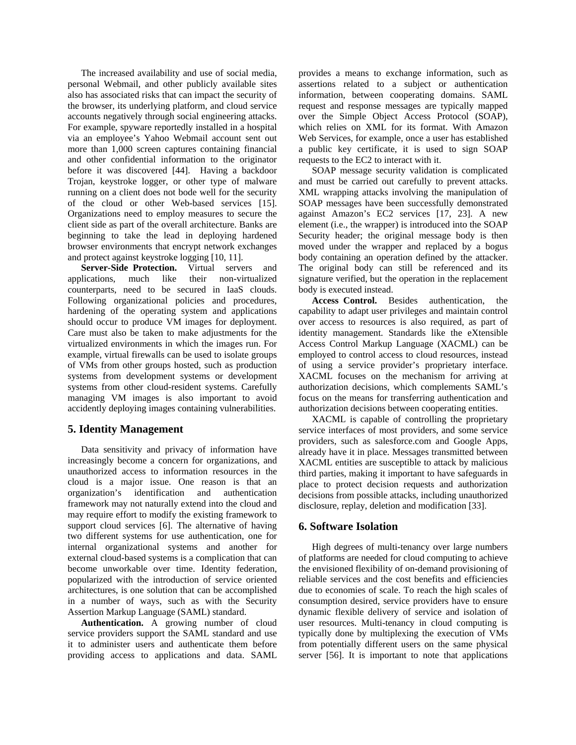The increased availability and use of social media, personal Webmail, and other publicly available sites also has associated risks that can impact the security of the browser, its underlying platform, and cloud service accounts negatively through social engineering attacks. For example, spyware reportedly installed in a hospital via an employee's Yahoo Webmail account sent out more than 1,000 screen captures containing financial and other confidential information to the originator before it was discovered [44]. Having a backdoor Trojan, keystroke logger, or other type of malware running on a client does not bode well for the security of the cloud or other Web-based services [15]. Organizations need to employ measures to secure the client side as part of the overall architecture. Banks are beginning to take the lead in deploying hardened browser environments that encrypt network exchanges and protect against keystroke logging [10, 11].

**Server-Side Protection.** Virtual servers and applications, much like their non-virtualized counterparts, need to be secured in IaaS clouds. Following organizational policies and procedures, hardening of the operating system and applications should occur to produce VM images for deployment. Care must also be taken to make adjustments for the virtualized environments in which the images run. For example, virtual firewalls can be used to isolate groups of VMs from other groups hosted, such as production systems from development systems or development systems from other cloud-resident systems. Carefully managing VM images is also important to avoid accidently deploying images containing vulnerabilities.

## **5. Identity Management**

Data sensitivity and privacy of information have increasingly become a concern for organizations, and unauthorized access to information resources in the cloud is a major issue. One reason is that an organization's identification and authentication framework may not naturally extend into the cloud and may require effort to modify the existing framework to support cloud services [6]. The alternative of having two different systems for use authentication, one for internal organizational systems and another for external cloud-based systems is a complication that can become unworkable over time. Identity federation, popularized with the introduction of service oriented architectures, is one solution that can be accomplished in a number of ways, such as with the Security Assertion Markup Language (SAML) standard.

**Authentication.** A growing number of cloud service providers support the SAML standard and use it to administer users and authenticate them before providing access to applications and data. SAML provides a means to exchange information, such as assertions related to a subject or authentication information, between cooperating domains. SAML request and response messages are typically mapped over the Simple Object Access Protocol (SOAP), which relies on XML for its format. With Amazon Web Services, for example, once a user has established a public key certificate, it is used to sign SOAP requests to the EC2 to interact with it.

SOAP message security validation is complicated and must be carried out carefully to prevent attacks. XML wrapping attacks involving the manipulation of SOAP messages have been successfully demonstrated against Amazon's EC2 services [17, 23]. A new element (i.e., the wrapper) is introduced into the SOAP Security header; the original message body is then moved under the wrapper and replaced by a bogus body containing an operation defined by the attacker. The original body can still be referenced and its signature verified, but the operation in the replacement body is executed instead.

**Access Control.** Besides authentication, the capability to adapt user privileges and maintain control over access to resources is also required, as part of identity management. Standards like the eXtensible Access Control Markup Language (XACML) can be employed to control access to cloud resources, instead of using a service provider's proprietary interface. XACML focuses on the mechanism for arriving at authorization decisions, which complements SAML's focus on the means for transferring authentication and authorization decisions between cooperating entities.

XACML is capable of controlling the proprietary service interfaces of most providers, and some service providers, such as salesforce.com and Google Apps, already have it in place. Messages transmitted between XACML entities are susceptible to attack by malicious third parties, making it important to have safeguards in place to protect decision requests and authorization decisions from possible attacks, including unauthorized disclosure, replay, deletion and modification [33].

## **6. Software Isolation**

High degrees of multi-tenancy over large numbers of platforms are needed for cloud computing to achieve the envisioned flexibility of on-demand provisioning of reliable services and the cost benefits and efficiencies due to economies of scale. To reach the high scales of consumption desired, service providers have to ensure dynamic flexible delivery of service and isolation of user resources. Multi-tenancy in cloud computing is typically done by multiplexing the execution of VMs from potentially different users on the same physical server [56]. It is important to note that applications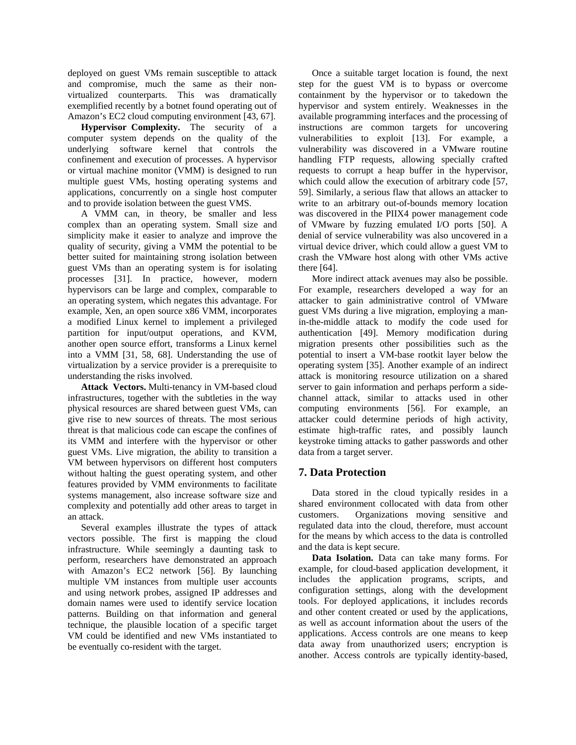deployed on guest VMs remain susceptible to attack and compromise, much the same as their nonvirtualized counterparts. This was dramatically exemplified recently by a botnet found operating out of Amazon's EC2 cloud computing environment [43, 67].

**Hypervisor Complexity.** The security of a computer system depends on the quality of the underlying software kernel that controls the confinement and execution of processes. A hypervisor or virtual machine monitor (VMM) is designed to run multiple guest VMs, hosting operating systems and applications, concurrently on a single host computer and to provide isolation between the guest VMS.

A VMM can, in theory, be smaller and less complex than an operating system. Small size and simplicity make it easier to analyze and improve the quality of security, giving a VMM the potential to be better suited for maintaining strong isolation between guest VMs than an operating system is for isolating processes [31]. In practice, however, modern hypervisors can be large and complex, comparable to an operating system, which negates this advantage. For example, Xen, an open source x86 VMM, incorporates a modified Linux kernel to implement a privileged partition for input/output operations, and KVM, another open source effort, transforms a Linux kernel into a VMM [31, 58, 68]. Understanding the use of virtualization by a service provider is a prerequisite to understanding the risks involved.

**Attack Vectors.** Multi-tenancy in VM-based cloud infrastructures, together with the subtleties in the way physical resources are shared between guest VMs, can give rise to new sources of threats. The most serious threat is that malicious code can escape the confines of its VMM and interfere with the hypervisor or other guest VMs. Live migration, the ability to transition a VM between hypervisors on different host computers without halting the guest operating system, and other features provided by VMM environments to facilitate systems management, also increase software size and complexity and potentially add other areas to target in an attack.

Several examples illustrate the types of attack vectors possible. The first is mapping the cloud infrastructure. While seemingly a daunting task to perform, researchers have demonstrated an approach with Amazon's EC2 network [56]. By launching multiple VM instances from multiple user accounts and using network probes, assigned IP addresses and domain names were used to identify service location patterns. Building on that information and general technique, the plausible location of a specific target VM could be identified and new VMs instantiated to be eventually co-resident with the target.

Once a suitable target location is found, the next step for the guest VM is to bypass or overcome containment by the hypervisor or to takedown the hypervisor and system entirely. Weaknesses in the available programming interfaces and the processing of instructions are common targets for uncovering vulnerabilities to exploit [13]. For example, a vulnerability was discovered in a VMware routine handling FTP requests, allowing specially crafted requests to corrupt a heap buffer in the hypervisor, which could allow the execution of arbitrary code [57, 59]. Similarly, a serious flaw that allows an attacker to write to an arbitrary out-of-bounds memory location was discovered in the PIIX4 power management code of VMware by fuzzing emulated I/O ports [50]. A denial of service vulnerability was also uncovered in a virtual device driver, which could allow a guest VM to crash the VMware host along with other VMs active there [64].

More indirect attack avenues may also be possible. For example, researchers developed a way for an attacker to gain administrative control of VMware guest VMs during a live migration, employing a manin-the-middle attack to modify the code used for authentication [49]. Memory modification during migration presents other possibilities such as the potential to insert a VM-base rootkit layer below the operating system [35]. Another example of an indirect attack is monitoring resource utilization on a shared server to gain information and perhaps perform a sidechannel attack, similar to attacks used in other computing environments [56]. For example, an attacker could determine periods of high activity, estimate high-traffic rates, and possibly launch keystroke timing attacks to gather passwords and other data from a target server.

# **7. Data Protection**

Data stored in the cloud typically resides in a shared environment collocated with data from other customers. Organizations moving sensitive and regulated data into the cloud, therefore, must account for the means by which access to the data is controlled and the data is kept secure.

**Data Isolation.** Data can take many forms. For example, for cloud-based application development, it includes the application programs, scripts, and configuration settings, along with the development tools. For deployed applications, it includes records and other content created or used by the applications, as well as account information about the users of the applications. Access controls are one means to keep data away from unauthorized users; encryption is another. Access controls are typically identity-based,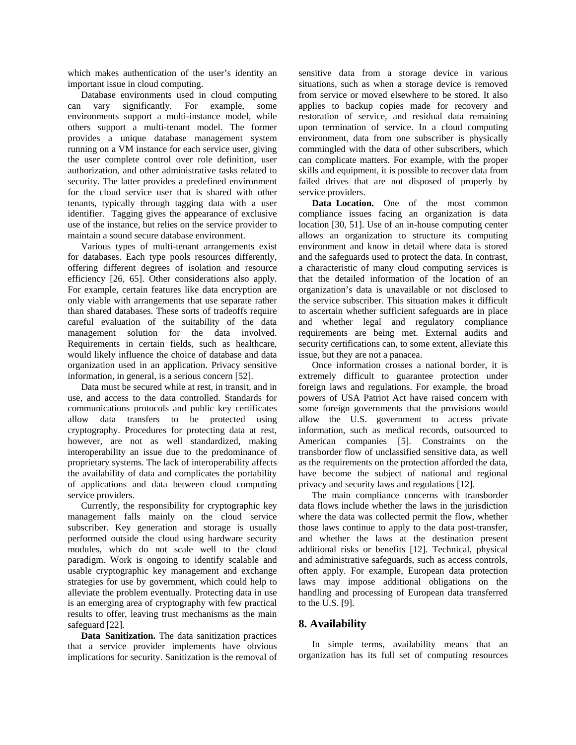which makes authentication of the user's identity an important issue in cloud computing.

Database environments used in cloud computing can vary significantly. For example, some environments support a multi-instance model, while others support a multi-tenant model. The former provides a unique database management system running on a VM instance for each service user, giving the user complete control over role definition, user authorization, and other administrative tasks related to security. The latter provides a predefined environment for the cloud service user that is shared with other tenants, typically through tagging data with a user identifier. Tagging gives the appearance of exclusive use of the instance, but relies on the service provider to maintain a sound secure database environment.

Various types of multi-tenant arrangements exist for databases. Each type pools resources differently, offering different degrees of isolation and resource efficiency [26, 65]. Other considerations also apply. For example, certain features like data encryption are only viable with arrangements that use separate rather than shared databases. These sorts of tradeoffs require careful evaluation of the suitability of the data management solution for the data involved. Requirements in certain fields, such as healthcare, would likely influence the choice of database and data organization used in an application. Privacy sensitive information, in general, is a serious concern [52].

Data must be secured while at rest, in transit, and in use, and access to the data controlled. Standards for communications protocols and public key certificates allow data transfers to be protected using cryptography. Procedures for protecting data at rest, however, are not as well standardized, making interoperability an issue due to the predominance of proprietary systems. The lack of interoperability affects the availability of data and complicates the portability of applications and data between cloud computing service providers.

Currently, the responsibility for cryptographic key management falls mainly on the cloud service subscriber. Key generation and storage is usually performed outside the cloud using hardware security modules, which do not scale well to the cloud paradigm. Work is ongoing to identify scalable and usable cryptographic key management and exchange strategies for use by government, which could help to alleviate the problem eventually. Protecting data in use is an emerging area of cryptography with few practical results to offer, leaving trust mechanisms as the main safeguard [22].

**Data Sanitization.** The data sanitization practices that a service provider implements have obvious implications for security. Sanitization is the removal of sensitive data from a storage device in various situations, such as when a storage device is removed from service or moved elsewhere to be stored. It also applies to backup copies made for recovery and restoration of service, and residual data remaining upon termination of service. In a cloud computing environment, data from one subscriber is physically commingled with the data of other subscribers, which can complicate matters. For example, with the proper skills and equipment, it is possible to recover data from failed drives that are not disposed of properly by service providers.

**Data Location.** One of the most common compliance issues facing an organization is data location [30, 51]. Use of an in-house computing center allows an organization to structure its computing environment and know in detail where data is stored and the safeguards used to protect the data. In contrast, a characteristic of many cloud computing services is that the detailed information of the location of an organization's data is unavailable or not disclosed to the service subscriber. This situation makes it difficult to ascertain whether sufficient safeguards are in place and whether legal and regulatory compliance requirements are being met. External audits and security certifications can, to some extent, alleviate this issue, but they are not a panacea.

Once information crosses a national border, it is extremely difficult to guarantee protection under foreign laws and regulations. For example, the broad powers of USA Patriot Act have raised concern with some foreign governments that the provisions would allow the U.S. government to access private information, such as medical records, outsourced to American companies [5]. Constraints on the transborder flow of unclassified sensitive data, as well as the requirements on the protection afforded the data, have become the subject of national and regional privacy and security laws and regulations [12].

The main compliance concerns with transborder data flows include whether the laws in the jurisdiction where the data was collected permit the flow, whether those laws continue to apply to the data post-transfer, and whether the laws at the destination present additional risks or benefits [12]. Technical, physical and administrative safeguards, such as access controls, often apply. For example, European data protection laws may impose additional obligations on the handling and processing of European data transferred to the U.S. [9].

# **8. Availability**

In simple terms, availability means that an organization has its full set of computing resources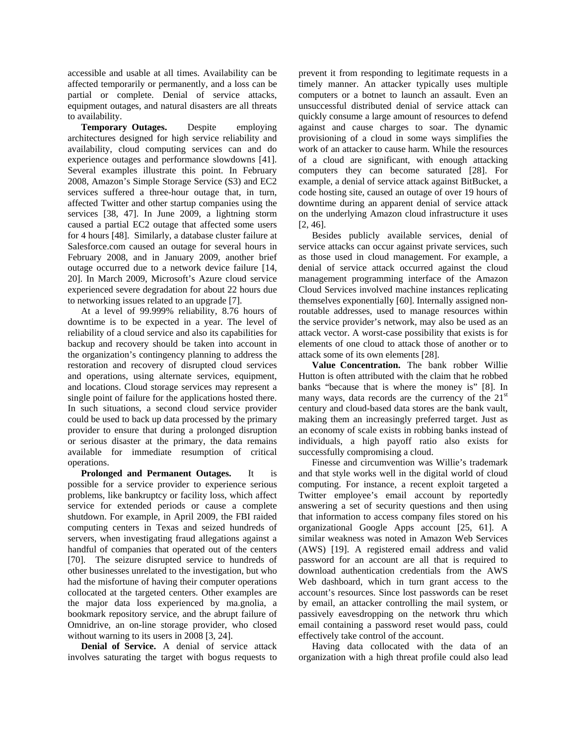accessible and usable at all times. Availability can be affected temporarily or permanently, and a loss can be partial or complete. Denial of service attacks, equipment outages, and natural disasters are all threats to availability.

**Temporary Outages.** Despite employing architectures designed for high service reliability and availability, cloud computing services can and do experience outages and performance slowdowns [41]. Several examples illustrate this point. In February 2008, Amazon's Simple Storage Service (S3) and EC2 services suffered a three-hour outage that, in turn, affected Twitter and other startup companies using the services [38, 47]. In June 2009, a lightning storm caused a partial EC2 outage that affected some users for 4 hours [48]. Similarly, a database cluster failure at Salesforce.com caused an outage for several hours in February 2008, and in January 2009, another brief outage occurred due to a network device failure [14, 20]. In March 2009, Microsoft's Azure cloud service experienced severe degradation for about 22 hours due to networking issues related to an upgrade [7].

At a level of 99.999% reliability, 8.76 hours of downtime is to be expected in a year. The level of reliability of a cloud service and also its capabilities for backup and recovery should be taken into account in the organization's contingency planning to address the restoration and recovery of disrupted cloud services and operations, using alternate services, equipment, and locations. Cloud storage services may represent a single point of failure for the applications hosted there. In such situations, a second cloud service provider could be used to back up data processed by the primary provider to ensure that during a prolonged disruption or serious disaster at the primary, the data remains available for immediate resumption of critical operations.

**Prolonged and Permanent Outages.** It is possible for a service provider to experience serious problems, like bankruptcy or facility loss, which affect service for extended periods or cause a complete shutdown. For example, in April 2009, the FBI raided computing centers in Texas and seized hundreds of servers, when investigating fraud allegations against a handful of companies that operated out of the centers [70]. The seizure disrupted service to hundreds of other businesses unrelated to the investigation, but who had the misfortune of having their computer operations collocated at the targeted centers. Other examples are the major data loss experienced by ma.gnolia, a bookmark repository service, and the abrupt failure of Omnidrive, an on-line storage provider, who closed without warning to its users in 2008 [3, 24].

**Denial of Service.** A denial of service attack involves saturating the target with bogus requests to

prevent it from responding to legitimate requests in a timely manner. An attacker typically uses multiple computers or a botnet to launch an assault. Even an unsuccessful distributed denial of service attack can quickly consume a large amount of resources to defend against and cause charges to soar. The dynamic provisioning of a cloud in some ways simplifies the work of an attacker to cause harm. While the resources of a cloud are significant, with enough attacking computers they can become saturated [28]. For example, a denial of service attack against BitBucket, a code hosting site, caused an outage of over 19 hours of downtime during an apparent denial of service attack on the underlying Amazon cloud infrastructure it uses [2, 46].

Besides publicly available services, denial of service attacks can occur against private services, such as those used in cloud management. For example, a denial of service attack occurred against the cloud management programming interface of the Amazon Cloud Services involved machine instances replicating themselves exponentially [60]. Internally assigned nonroutable addresses, used to manage resources within the service provider's network, may also be used as an attack vector. A worst-case possibility that exists is for elements of one cloud to attack those of another or to attack some of its own elements [28].

**Value Concentration.** The bank robber Willie Hutton is often attributed with the claim that he robbed banks "because that is where the money is" [8]. In many ways, data records are the currency of the  $21<sup>st</sup>$ century and cloud-based data stores are the bank vault, making them an increasingly preferred target. Just as an economy of scale exists in robbing banks instead of individuals, a high payoff ratio also exists for successfully compromising a cloud.

Finesse and circumvention was Willie's trademark and that style works well in the digital world of cloud computing. For instance, a recent exploit targeted a Twitter employee's email account by reportedly answering a set of security questions and then using that information to access company files stored on his organizational Google Apps account [25, 61]. A similar weakness was noted in Amazon Web Services (AWS) [19]. A registered email address and valid password for an account are all that is required to download authentication credentials from the AWS Web dashboard, which in turn grant access to the account's resources. Since lost passwords can be reset by email, an attacker controlling the mail system, or passively eavesdropping on the network thru which email containing a password reset would pass, could effectively take control of the account.

Having data collocated with the data of an organization with a high threat profile could also lead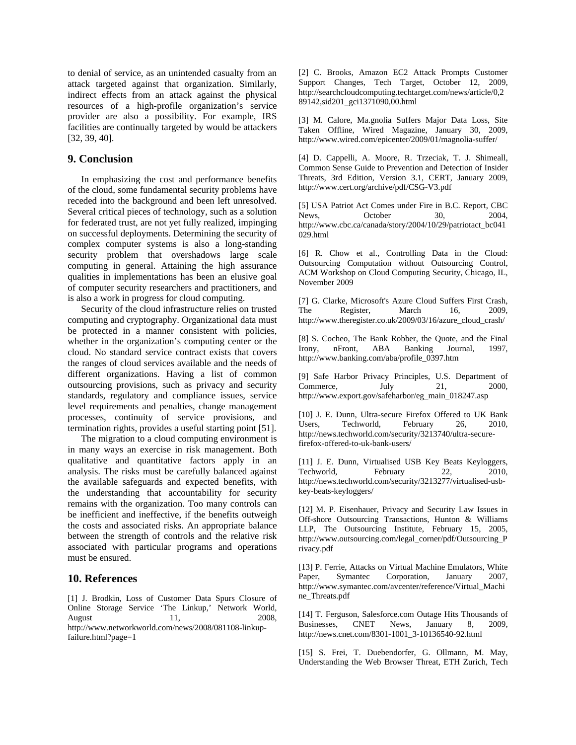to denial of service, as an unintended casualty from an attack targeted against that organization. Similarly, indirect effects from an attack against the physical resources of a high-profile organization's service provider are also a possibility. For example, IRS facilities are continually targeted by would be attackers [32, 39, 40].

#### **9. Conclusion**

In emphasizing the cost and performance benefits of the cloud, some fundamental security problems have receded into the background and been left unresolved. Several critical pieces of technology, such as a solution for federated trust, are not yet fully realized, impinging on successful deployments. Determining the security of complex computer systems is also a long-standing security problem that overshadows large scale computing in general. Attaining the high assurance qualities in implementations has been an elusive goal of computer security researchers and practitioners, and is also a work in progress for cloud computing.

Security of the cloud infrastructure relies on trusted computing and cryptography. Organizational data must be protected in a manner consistent with policies, whether in the organization's computing center or the cloud. No standard service contract exists that covers the ranges of cloud services available and the needs of different organizations. Having a list of common outsourcing provisions, such as privacy and security standards, regulatory and compliance issues, service level requirements and penalties, change management processes, continuity of service provisions, and termination rights, provides a useful starting point [51].

The migration to a cloud computing environment is in many ways an exercise in risk management. Both qualitative and quantitative factors apply in an analysis. The risks must be carefully balanced against the available safeguards and expected benefits, with the understanding that accountability for security remains with the organization. Too many controls can be inefficient and ineffective, if the benefits outweigh the costs and associated risks. An appropriate balance between the strength of controls and the relative risk associated with particular programs and operations must be ensured.

#### **10. References**

[1] J. Brodkin, Loss of Customer Data Spurs Closure of Online Storage Service 'The Linkup,' Network World, August 11, 2008, http://www.networkworld.com/news/2008/081108-linkupfailure.html?page=1

[2] C. Brooks, Amazon EC2 Attack Prompts Customer Support Changes, Tech Target, October 12, 2009, http://searchcloudcomputing.techtarget.com/news/article/0,2 89142,sid201\_gci1371090,00.html

[3] M. Calore, Ma.gnolia Suffers Major Data Loss, Site Taken Offline, Wired Magazine, January 30, 2009, http://www.wired.com/epicenter/2009/01/magnolia-suffer/

[4] D. Cappelli, A. Moore, R. Trzeciak, T. J. Shimeall, Common Sense Guide to Prevention and Detection of Insider Threats, 3rd Edition, Version 3.1, CERT, January 2009, http://www.cert.org/archive/pdf/CSG-V3.pdf

[5] USA Patriot Act Comes under Fire in B.C. Report, CBC News, October 30, 2004, http://www.cbc.ca/canada/story/2004/10/29/patriotact\_bc041 029.html

[6] R. Chow et al., Controlling Data in the Cloud: Outsourcing Computation without Outsourcing Control, ACM Workshop on Cloud Computing Security, Chicago, IL, November 2009

[7] G. Clarke, Microsoft's Azure Cloud Suffers First Crash, The Register, March 16, 2009, http://www.theregister.co.uk/2009/03/16/azure\_cloud\_crash/

[8] S. Cocheo, The Bank Robber, the Quote, and the Final Irony, nFront, ABA Banking Journal, 1997, Irony, nFront, ABA Banking Journal, 1997, http://www.banking.com/aba/profile\_0397.htm

[9] Safe Harbor Privacy Principles, U.S. Department of Commerce, July 21, 2000, http://www.export.gov/safeharbor/eg\_main\_018247.asp

[10] J. E. Dunn, Ultra-secure Firefox Offered to UK Bank Users, Techworld, February 26, 2010, http://news.techworld.com/security/3213740/ultra-securefirefox-offered-to-uk-bank-users/

[11] J. E. Dunn, Virtualised USB Key Beats Keyloggers, Techworld, February 22, 2010, http://news.techworld.com/security/3213277/virtualised-usbkey-beats-keyloggers/

[12] M. P. Eisenhauer, Privacy and Security Law Issues in Off-shore Outsourcing Transactions, Hunton & Williams LLP, The Outsourcing Institute, February 15, 2005, http://www.outsourcing.com/legal\_corner/pdf/Outsourcing\_P rivacy.pdf

[13] P. Ferrie, Attacks on Virtual Machine Emulators, White Paper, Symantec Corporation, January 2007, http://www.symantec.com/avcenter/reference/Virtual\_Machi ne\_Threats.pdf

[14] T. Ferguson, Salesforce.com Outage Hits Thousands of Businesses, CNET News, January 8, 2009, http://news.cnet.com/8301-1001\_3-10136540-92.html

[15] S. Frei, T. Duebendorfer, G. Ollmann, M. May, Understanding the Web Browser Threat, ETH Zurich, Tech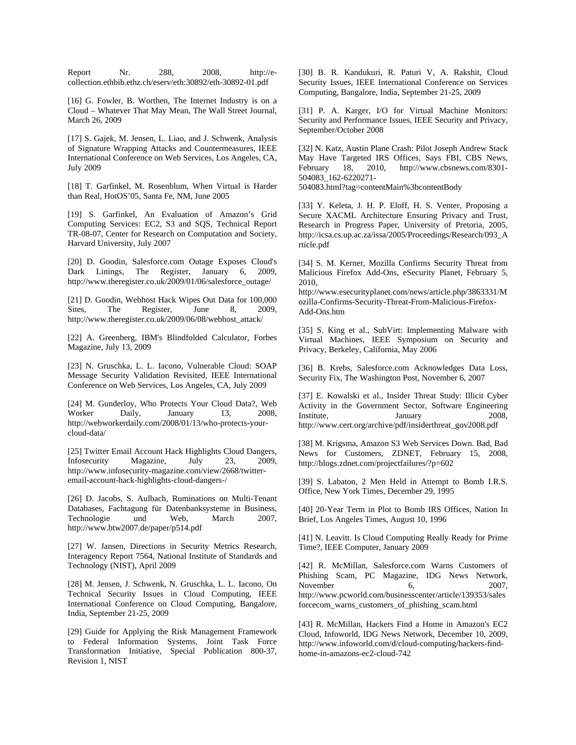Report Nr. 288, 2008, http://ecollection.ethbib.ethz.ch/eserv/eth:30892/eth-30892-01.pdf

[16] G. Fowler, B. Worthen, The Internet Industry is on a Cloud – Whatever That May Mean, The Wall Street Journal, March 26, 2009

[17] S. Gajek, M. Jensen, L. Liao, and J. Schwenk, Analysis of Signature Wrapping Attacks and Countermeasures, IEEE International Conference on Web Services, Los Angeles, CA, July 2009

[18] T. Garfinkel, M. Rosenblum, When Virtual is Harder than Real, HotOS'05, Santa Fe, NM, June 2005

[19] S. Garfinkel, An Evaluation of Amazon's Grid Computing Services: EC2, S3 and SQS, Technical Report TR-08-07, Center for Research on Computation and Society, Harvard University, July 2007

[20] D. Goodin, Salesforce.com Outage Exposes Cloud's Dark Linings, The Register, January 6, 2009, http://www.theregister.co.uk/2009/01/06/salesforce\_outage/

[21] D. Goodin, Webhost Hack Wipes Out Data for 100,000 Sites, The Register, June 8, 2009, http://www.theregister.co.uk/2009/06/08/webhost\_attack/

[22] A. Greenberg, IBM's Blindfolded Calculator, Forbes Magazine, July 13, 2009

[23] N. Gruschka, L. L. Iacono, Vulnerable Cloud: SOAP Message Security Validation Revisited, IEEE International Conference on Web Services, Los Angeles, CA, July 2009

[24] M. Gunderloy, Who Protects Your Cloud Data?, Web Worker Daily, January 13, 2008, http://webworkerdaily.com/2008/01/13/who-protects-yourcloud-data/

[25] Twitter Email Account Hack Highlights Cloud Dangers, Infosecurity Magazine, July 23, 2009, http://www.infosecurity-magazine.com/view/2668/twitteremail-account-hack-highlights-cloud-dangers-/

[26] D. Jacobs, S. Aulbach, Ruminations on Multi-Tenant Databases, Fachtagung für Datenbanksysteme in Business, Technologie und Web, March 2007, http://www.btw2007.de/paper/p514.pdf

[27] W. Jansen, Directions in Security Metrics Research, Interagency Report 7564, National Institute of Standards and Technology (NIST), April 2009

[28] M. Jensen, J. Schwenk, N. Gruschka, L. L. Iacono, On Technical Security Issues in Cloud Computing, IEEE International Conference on Cloud Computing, Bangalore, India, September 21-25, 2009

[29] Guide for Applying the Risk Management Framework to Federal Information Systems, Joint Task Force Transformation Initiative, Special Publication 800-37, Revision 1, NIST

[30] B. R. Kandukuri, R. Paturi V, A. Rakshit, Cloud Security Issues, IEEE International Conference on Services Computing, Bangalore, India, September 21-25, 2009

[31] P. A. Karger, I/O for Virtual Machine Monitors: Security and Performance Issues, IEEE Security and Privacy, September/October 2008

[32] N. Katz, Austin Plane Crash: Pilot Joseph Andrew Stack May Have Targeted IRS Offices, Says FBI, CBS News, February 18, 2010, http://www.cbsnews.com/8301- 504083\_162-6220271-

504083.html?tag=contentMain%3bcontentBody

[33] Y. Keleta, J. H. P. Eloff, H. S. Venter, Proposing a Secure XACML Architecture Ensuring Privacy and Trust, Research in Progress Paper, University of Pretoria, 2005, http://icsa.cs.up.ac.za/issa/2005/Proceedings/Research/093\_A rticle.pdf

[34] S. M. Kerner, Mozilla Confirms Security Threat from Malicious Firefox Add-Ons, eSecurity Planet, February 5, 2010,

http://www.esecurityplanet.com/news/article.php/3863331/M ozilla-Confirms-Security-Threat-From-Malicious-Firefox-Add-Ons.htm

[35] S. King et al., SubVirt: Implementing Malware with Virtual Machines, IEEE Symposium on Security and Privacy, Berkeley, California, May 2006

[36] B. Krebs, Salesforce.com Acknowledges Data Loss, Security Fix, The Washington Post, November 6, 2007

[37] E. Kowalski et al., Insider Threat Study: Illicit Cyber Activity in the Government Sector, Software Engineering Institute. January 2008. http://www.cert.org/archive/pdf/insiderthreat\_gov2008.pdf

[38] M. Krigsma, Amazon S3 Web Services Down. Bad, Bad News for Customers, ZDNET, February 15, 2008, http://blogs.zdnet.com/projectfailures/?p=602

[39] S. Labaton, 2 Men Held in Attempt to Bomb I.R.S. Office, New York Times, December 29, 1995

[40] 20-Year Term in Plot to Bomb IRS Offices, Nation In Brief, Los Angeles Times, August 10, 1996

[41] N. Leavitt. Is Cloud Computing Really Ready for Prime Time?, IEEE Computer, January 2009

[42] R. McMillan, Salesforce.com Warns Customers of Phishing Scam, PC Magazine, IDG News Network, November 6, 2007, http://www.pcworld.com/businesscenter/article/139353/sales forcecom\_warns\_customers\_of\_phishing\_scam.html

[43] R. McMillan, Hackers Find a Home in Amazon's EC2 Cloud, Infoworld, IDG News Network, December 10, 2009, http://www.infoworld.com/d/cloud-computing/hackers-findhome-in-amazons-ec2-cloud-742